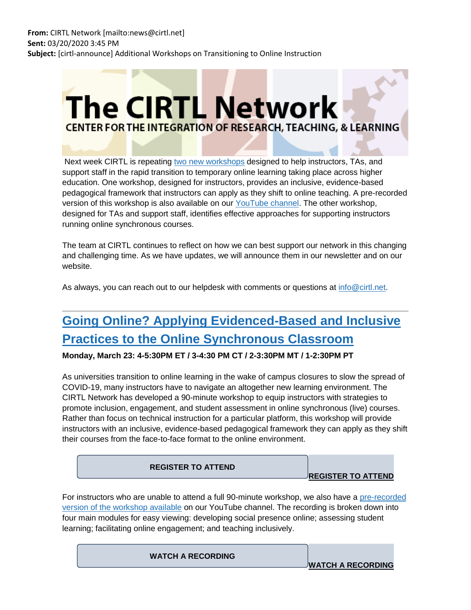# **The CIRTL Network CENTER FOR THE INTEGRATION OF RESEARCH, TEACHING, & LEARNING**

Next week CIRTL is repeating [two new workshops](https://nam05.safelinks.protection.outlook.com/?url=https%3A%2F%2Flists.wisc.edu%2Ft%2F58341215%2F84804386%2F4161187%2F2007%2F&data=02%7C01%7Cjoeg%40pitt.edu%7Cb3386fd467bd4075d74208d7cd0a4c14%7C9ef9f489e0a04eeb87cc3a526112fd0d%7C1%7C0%7C637203316418101861&sdata=cEy9K%2Fd%2FAhvQTZ4tKfyhgfTwqFj6SRuJ7QD1b6yqu5c%3D&reserved=0) designed to help instructors, TAs, and support staff in the rapid transition to temporary online learning taking place across higher education. One workshop, designed for instructors, provides an inclusive, evidence-based pedagogical framework that instructors can apply as they shift to online teaching. A pre-recorded version of this workshop is also available on our [YouTube channel.](https://nam05.safelinks.protection.outlook.com/?url=https%3A%2F%2Flists.wisc.edu%2Ft%2F58341215%2F84804386%2F4161188%2F2008%2F&data=02%7C01%7Cjoeg%40pitt.edu%7Cb3386fd467bd4075d74208d7cd0a4c14%7C9ef9f489e0a04eeb87cc3a526112fd0d%7C1%7C0%7C637203316418101861&sdata=3Fd3zoufbvsIksrV5dKouAGJnAWeFxEOmQWKFNFMbts%3D&reserved=0) The other workshop, designed for TAs and support staff, identifies effective approaches for supporting instructors running online synchronous courses.

The team at CIRTL continues to reflect on how we can best support our network in this changing and challenging time. As we have updates, we will announce them in our newsletter and on our website.

As always, you can reach out to our helpdesk with comments or questions at [info@cirtl.net.](mailto:info@cirtl.net)

## **[Going Online? Applying Evidenced-Based and Inclusive](https://nam05.safelinks.protection.outlook.com/?url=https%3A%2F%2Flists.wisc.edu%2Ft%2F58341215%2F84804386%2F4161189%2F2009%2F&data=02%7C01%7Cjoeg%40pitt.edu%7Cb3386fd467bd4075d74208d7cd0a4c14%7C9ef9f489e0a04eeb87cc3a526112fd0d%7C1%7C0%7C637203316418111855&sdata=L6Fy7a%2BK8LyblWeJEpsMpzz15GasmNKNUsJ0hJJw3mA%3D&reserved=0)  [Practices to the Online Synchronous Classroom](https://nam05.safelinks.protection.outlook.com/?url=https%3A%2F%2Flists.wisc.edu%2Ft%2F58341215%2F84804386%2F4161189%2F2009%2F&data=02%7C01%7Cjoeg%40pitt.edu%7Cb3386fd467bd4075d74208d7cd0a4c14%7C9ef9f489e0a04eeb87cc3a526112fd0d%7C1%7C0%7C637203316418111855&sdata=L6Fy7a%2BK8LyblWeJEpsMpzz15GasmNKNUsJ0hJJw3mA%3D&reserved=0)**

**Monday, March 23: 4-5:30PM ET / 3-4:30 PM CT / 2-3:30PM MT / 1-2:30PM PT**

As universities transition to online learning in the wake of campus closures to slow the spread of COVID-19, many instructors have to navigate an altogether new learning environment. The CIRTL Network has developed a 90-minute workshop to equip instructors with strategies to promote inclusion, engagement, and student assessment in online synchronous (live) courses. Rather than focus on technical instruction for a particular platform, this workshop will provide instructors with an inclusive, evidence-based pedagogical framework they can apply as they shift their courses from the face-to-face format to the online environment.

| <b>REGISTER TO ATTEND</b> | <b>JREGISTER TO ATTEND</b> |  |
|---------------------------|----------------------------|--|
|                           |                            |  |

For instructors who are unable to attend a full 90-minute workshop, we also have a [pre-recorded](https://nam05.safelinks.protection.outlook.com/?url=https%3A%2F%2Flists.wisc.edu%2Ft%2F58341215%2F84804386%2F4161188%2F3010%2F&data=02%7C01%7Cjoeg%40pitt.edu%7Cb3386fd467bd4075d74208d7cd0a4c14%7C9ef9f489e0a04eeb87cc3a526112fd0d%7C1%7C0%7C637203316418121854&sdata=X7U%2BJx1NY1BmLGkCC9kaFchvFgKhlbpgsgjrGgKx7%2B4%3D&reserved=0)  [version of the workshop available](https://nam05.safelinks.protection.outlook.com/?url=https%3A%2F%2Flists.wisc.edu%2Ft%2F58341215%2F84804386%2F4161188%2F3010%2F&data=02%7C01%7Cjoeg%40pitt.edu%7Cb3386fd467bd4075d74208d7cd0a4c14%7C9ef9f489e0a04eeb87cc3a526112fd0d%7C1%7C0%7C637203316418121854&sdata=X7U%2BJx1NY1BmLGkCC9kaFchvFgKhlbpgsgjrGgKx7%2B4%3D&reserved=0) on our YouTube channel. The recording is broken down into four main modules for easy viewing: developing social presence online; assessing student learning; facilitating online engagement; and teaching inclusively.

**[WATCH A RECORDING](https://nam05.safelinks.protection.outlook.com/?url=https%3A%2F%2Flists.wisc.edu%2Ft%2F58341215%2F84804386%2F4161188%2F3011%2F&data=02%7C01%7Cjoeg%40pitt.edu%7Cb3386fd467bd4075d74208d7cd0a4c14%7C9ef9f489e0a04eeb87cc3a526112fd0d%7C1%7C0%7C637203316418131848&sdata=YcWflWpn%2BOH5xMZZozV7I0ZfPUbjV3kZ5rtxFhBvjk4%3D&reserved=0) [WATCH A RECORDING](https://nam05.safelinks.protection.outlook.com/?url=https%3A%2F%2Fwww.youtube.com%2Fwatch%3Fv%3D2Jij_YE_g0c%26list%3DPLJSYKbO0r9fnAlJ68JhrFqpciFrxMYq4O&data=02%7C01%7Cjoeg%40pitt.edu%7Cb3386fd467bd4075d74208d7cd0a4c14%7C9ef9f489e0a04eeb87cc3a526112fd0d%7C1%7C0%7C637203316418121854&sdata=LgXJhtbVlVOWzdd%2BPmmRyeaCpzjkKHzY3xNBrcjtlkQ%3D&reserved=0)**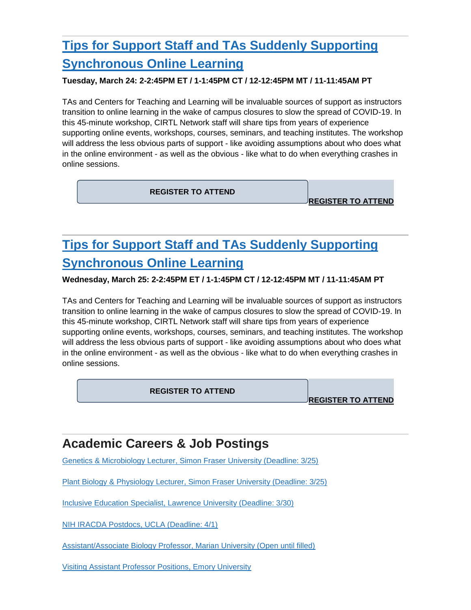## **[Tips for Support Staff and TAs Suddenly Supporting](https://nam05.safelinks.protection.outlook.com/?url=https%3A%2F%2Flists.wisc.edu%2Ft%2F58341215%2F84804386%2F4161190%2F3012%2F&data=02%7C01%7Cjoeg%40pitt.edu%7Cb3386fd467bd4075d74208d7cd0a4c14%7C9ef9f489e0a04eeb87cc3a526112fd0d%7C1%7C0%7C637203316418131848&sdata=x12q%2FGSm2onIU4Ie6t0kgFfA71CKMXSA%2B2lAfmxaPLw%3D&reserved=0)  [Synchronous Online Learning](https://nam05.safelinks.protection.outlook.com/?url=https%3A%2F%2Flists.wisc.edu%2Ft%2F58341215%2F84804386%2F4161190%2F3012%2F&data=02%7C01%7Cjoeg%40pitt.edu%7Cb3386fd467bd4075d74208d7cd0a4c14%7C9ef9f489e0a04eeb87cc3a526112fd0d%7C1%7C0%7C637203316418131848&sdata=x12q%2FGSm2onIU4Ie6t0kgFfA71CKMXSA%2B2lAfmxaPLw%3D&reserved=0)**

#### **Tuesday, March 24: 2-2:45PM ET / 1-1:45PM CT / 12-12:45PM MT / 11-11:45AM PT**

TAs and Centers for Teaching and Learning will be invaluable sources of support as instructors transition to online learning in the wake of campus closures to slow the spread of COVID-19. In this 45-minute workshop, CIRTL Network staff will share tips from years of experience supporting online events, workshops, courses, seminars, and teaching institutes. The workshop will address the less obvious parts of support - like avoiding assumptions about who does what in the online environment - as well as the obvious - like what to do when everything crashes in online sessions.

**[REGISTER TO ATTEND](https://nam05.safelinks.protection.outlook.com/?url=https%3A%2F%2Fwww.cirtl.net%2Fevents%2F873&data=02%7C01%7Cjoeg%40pitt.edu%7Cb3386fd467bd4075d74208d7cd0a4c14%7C9ef9f489e0a04eeb87cc3a526112fd0d%7C1%7C0%7C637203316418141839&sdata=J24D6YefPiMSuglSQ1%2Ffn4vuRBmSiQtUrkai7rePUMU%3D&reserved=0)**

**[REGISTER TO ATTEND](https://nam05.safelinks.protection.outlook.com/?url=https%3A%2F%2Flists.wisc.edu%2Ft%2F58341215%2F84804386%2F4161190%2F3013%2F&data=02%7C01%7Cjoeg%40pitt.edu%7Cb3386fd467bd4075d74208d7cd0a4c14%7C9ef9f489e0a04eeb87cc3a526112fd0d%7C1%7C0%7C637203316418141839&sdata=LEwzi6r%2B6G9wgro8pxfRhocjocKfcc7szZhSDXC8R1E%3D&reserved=0)**

## **[Tips for Support Staff and TAs Suddenly Supporting](https://nam05.safelinks.protection.outlook.com/?url=https%3A%2F%2Flists.wisc.edu%2Ft%2F58341215%2F84804386%2F4161191%2F3014%2F&data=02%7C01%7Cjoeg%40pitt.edu%7Cb3386fd467bd4075d74208d7cd0a4c14%7C9ef9f489e0a04eeb87cc3a526112fd0d%7C1%7C0%7C637203316418141839&sdata=DnUsqv7hvozL7q7MGM%2B6LxJcs9VeW7%2FN75mOkJSZYZM%3D&reserved=0)  [Synchronous Online Learning](https://nam05.safelinks.protection.outlook.com/?url=https%3A%2F%2Flists.wisc.edu%2Ft%2F58341215%2F84804386%2F4161191%2F3014%2F&data=02%7C01%7Cjoeg%40pitt.edu%7Cb3386fd467bd4075d74208d7cd0a4c14%7C9ef9f489e0a04eeb87cc3a526112fd0d%7C1%7C0%7C637203316418141839&sdata=DnUsqv7hvozL7q7MGM%2B6LxJcs9VeW7%2FN75mOkJSZYZM%3D&reserved=0)**

#### **Wednesday, March 25: 2-2:45PM ET / 1-1:45PM CT / 12-12:45PM MT / 11-11:45AM PT**

TAs and Centers for Teaching and Learning will be invaluable sources of support as instructors transition to online learning in the wake of campus closures to slow the spread of COVID-19. In this 45-minute workshop, CIRTL Network staff will share tips from years of experience supporting online events, workshops, courses, seminars, and teaching institutes. The workshop will address the less obvious parts of support - like avoiding assumptions about who does what in the online environment - as well as the obvious - like what to do when everything crashes in online sessions.

**[REGISTER TO ATTEND](https://nam05.safelinks.protection.outlook.com/?url=https%3A%2F%2Fwww.cirtl.net%2Fevents%2F874&data=02%7C01%7Cjoeg%40pitt.edu%7Cb3386fd467bd4075d74208d7cd0a4c14%7C9ef9f489e0a04eeb87cc3a526112fd0d%7C1%7C0%7C637203316418151834&sdata=fuXDmaE7dG953wOxV7sH09qkEPOFaxBlJF20jvoVAxA%3D&reserved=0)**

**[REGISTER TO ATTEND](https://nam05.safelinks.protection.outlook.com/?url=https%3A%2F%2Flists.wisc.edu%2Ft%2F58341215%2F84804386%2F4161191%2F3015%2F&data=02%7C01%7Cjoeg%40pitt.edu%7Cb3386fd467bd4075d74208d7cd0a4c14%7C9ef9f489e0a04eeb87cc3a526112fd0d%7C1%7C0%7C637203316418151834&sdata=oToplTuzQt%2FjQmntGwPswFCMWSC%2FWxkn6Vbi8HSJb3o%3D&reserved=0)**

### **Academic Careers & Job Postings**

[Genetics & Microbiology Lecturer, Simon Fraser University \(Deadline: 3/25\)](https://nam05.safelinks.protection.outlook.com/?url=https%3A%2F%2Flists.wisc.edu%2Ft%2F58341215%2F84804386%2F4152164%2F4002%2F&data=02%7C01%7Cjoeg%40pitt.edu%7Cb3386fd467bd4075d74208d7cd0a4c14%7C9ef9f489e0a04eeb87cc3a526112fd0d%7C1%7C0%7C637203316418161829&sdata=%2BV0HqVA8ojeaJJVzXrJnEkJ6j1c8Whi3IpyLsgUfQUw%3D&reserved=0)

Plant Biology & [Physiology Lecturer, Simon Fraser University \(Deadline: 3/25\)](https://nam05.safelinks.protection.outlook.com/?url=https%3A%2F%2Flists.wisc.edu%2Ft%2F58341215%2F84804386%2F4152165%2F4003%2F&data=02%7C01%7Cjoeg%40pitt.edu%7Cb3386fd467bd4075d74208d7cd0a4c14%7C9ef9f489e0a04eeb87cc3a526112fd0d%7C1%7C0%7C637203316418161829&sdata=QK%2Fdx1yaAou32MD7T804hmz7oYnFio0fKJcZnWgxmvk%3D&reserved=0)

[Inclusive Education Specialist, Lawrence University \(Deadline: 3/30\)](https://nam05.safelinks.protection.outlook.com/?url=https%3A%2F%2Flists.wisc.edu%2Ft%2F58341215%2F84804386%2F4152166%2F4004%2F&data=02%7C01%7Cjoeg%40pitt.edu%7Cb3386fd467bd4075d74208d7cd0a4c14%7C9ef9f489e0a04eeb87cc3a526112fd0d%7C1%7C0%7C637203316418171825&sdata=4uHJ4apyxqQasRbkHE7BWWV7QP1XEVkXu7m3hnpCTEs%3D&reserved=0)

[NIH IRACDA Postdocs, UCLA \(Deadline: 4/1\)](https://nam05.safelinks.protection.outlook.com/?url=https%3A%2F%2Flists.wisc.edu%2Ft%2F58341215%2F84804386%2F4152167%2F4005%2F&data=02%7C01%7Cjoeg%40pitt.edu%7Cb3386fd467bd4075d74208d7cd0a4c14%7C9ef9f489e0a04eeb87cc3a526112fd0d%7C1%7C0%7C637203316418171825&sdata=7TBWVJit0OE1EuERi4TV8Fa%2BklfFTLzuqqJroykVHd8%3D&reserved=0)

[Assistant/Associate Biology Professor, Marian University \(Open until filled\)](https://nam05.safelinks.protection.outlook.com/?url=https%3A%2F%2Flists.wisc.edu%2Ft%2F58341215%2F84804386%2F4152168%2F4006%2F&data=02%7C01%7Cjoeg%40pitt.edu%7Cb3386fd467bd4075d74208d7cd0a4c14%7C9ef9f489e0a04eeb87cc3a526112fd0d%7C1%7C0%7C637203316418181817&sdata=EtvRyj7CLVbOgXlloaK5o14ovGVwt48qA832NPuq57U%3D&reserved=0)

[Visiting Assistant Professor Positions, Emory University](https://nam05.safelinks.protection.outlook.com/?url=https%3A%2F%2Flists.wisc.edu%2Ft%2F58341215%2F84804386%2F4152169%2F4007%2F&data=02%7C01%7Cjoeg%40pitt.edu%7Cb3386fd467bd4075d74208d7cd0a4c14%7C9ef9f489e0a04eeb87cc3a526112fd0d%7C1%7C0%7C637203316418181817&sdata=qyct0G%2FNryvcudC8%2FVyRa5c1hmMcI%2BpgWDgQPxWa5Mk%3D&reserved=0)